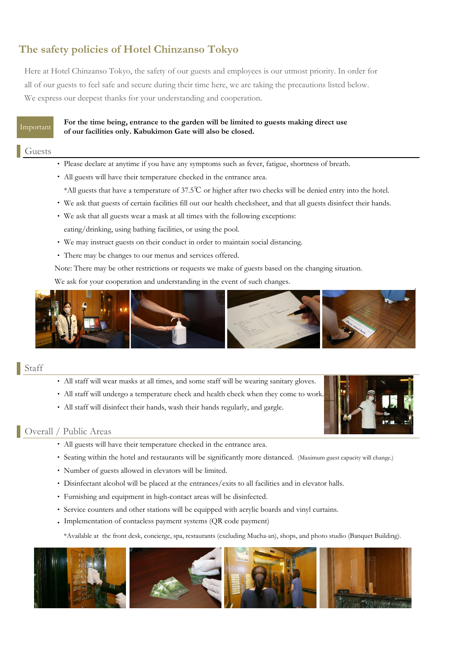# **The safety policies of Hotel Chinzanso Tokyo**

Here at Hotel Chinzanso Tokyo, the safety of our guests and employees is our utmost priority. In order for all of our guests to feel safe and secure during their time here, we are taking the precautions listed below. We express our deepest thanks for your understanding and cooperation.

## **For the time being, entrance to the garden will be limited to guests making direct use of our facilities only. Kabukimon Gate will also be closed.**

## Guests

- ・ Please declare at anytime if you have any symptoms such as fever, fatigue, shortness of breath.
- ・ All guests will have their temperature checked in the entrance area.
- \*All guests that have a temperature of 37.5℃ or higher after two checks will be denied entry into the hotel.
- ・ We ask that guests of certain facilities fill out our health checksheet, and that all guests disinfect their hands.
- ・ We ask that all guests wear a mask at all times with the following exceptions: eating/drinking, using bathing facilities, or using the pool.
- ・ We may instruct guests on their conduct in order to maintain social distancing.
- ・ There may be changes to our menus and services offered.

Note: There may be other restrictions or requests we make of guests based on the changing situation.

We ask for your cooperation and understanding in the event of such changes.



# Staff

- ・ All staff will wear masks at all times, and some staff will be wearing sanitary gloves.
- ・ All staff will undergo a temperature check and health check when they come to work.
- ・ All staff will disinfect their hands, wash their hands regularly, and gargle.



# Overall / Public Areas

- ・ All guests will have their temperature checked in the entrance area.
- ・ Seating within the hotel and restaurants will be significantly more distanced. (Maximum guest capacity will change.)
- ・ Number of guests allowed in elevators will be limited.
- ・ Disinfectant alcohol will be placed at the entrances/exits to all facilities and in elevator halls.
- ・ Furnishing and equipment in high-contact areas will be disinfected.
- ・ Service counters and other stations will be equipped with acrylic boards and vinyl curtains.
- ・ Implementation of contacless payment systems (QR code payment)

\*Available at the front desk, concierge, spa, restaurants (excluding Mucha-an), shops, and photo studio (Banquet Building).

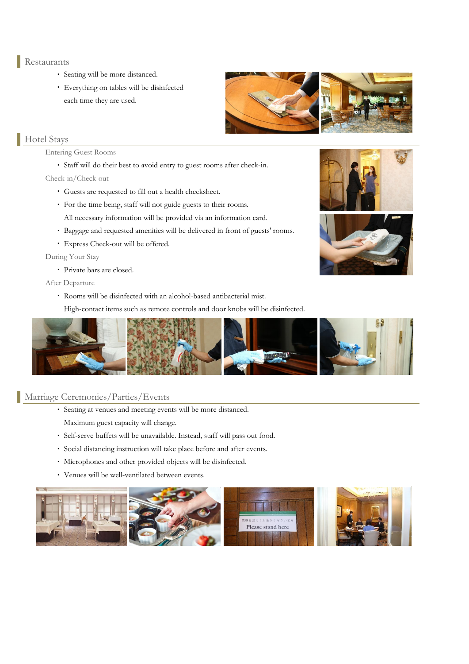#### Restaurants

- ・ Seating will be more distanced.
- ・ Everything on tables will be disinfected each time they are used.

# Hotel Stays

#### Entering Guest Rooms

・ Staff will do their best to avoid entry to guest rooms after check-in.

Check-in/Check-out

- ・ Guests are requested to fill out a health checksheet.
- ・ For the time being, staff will not guide guests to their rooms. All necessary information will be provided via an information card.
- ・ Baggage and requested amenities will be delivered in front of guests' rooms.
- ・ Express Check-out will be offered.

During Your Stay

・ Private bars are closed.

After Departure

・ Rooms will be disinfected with an alcohol-based antibacterial mist.

High-contact items such as remote controls and door knobs will be disinfected.



# Marriage Ceremonies/Parties/Events

- ・ Seating at venues and meeting events will be more distanced. Maximum guest capacity will change.
- ・ Self-serve buffets will be unavailable. Instead, staff will pass out food.
- ・ Social distancing instruction will take place before and after events.
- ・ Microphones and other provided objects will be disinfected.
- ・ Venues will be well-ventilated between events.